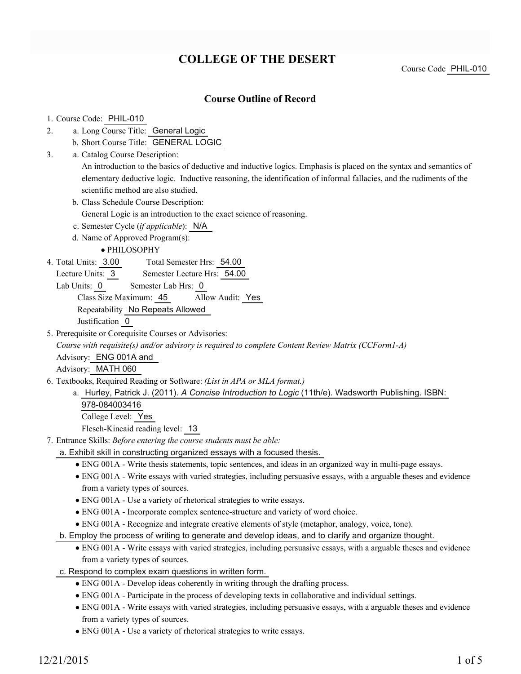### **COLLEGE OF THE DESERT**

### **Course Outline of Record**

### 1. Course Code: PHIL-010

- a. Long Course Title: General Logic 2.
	- b. Short Course Title: GENERAL LOGIC
- Catalog Course Description: a. 3.

An introduction to the basics of deductive and inductive logics. Emphasis is placed on the syntax and semantics of elementary deductive logic. Inductive reasoning, the identification of informal fallacies, and the rudiments of the scientific method are also studied.

b. Class Schedule Course Description:

General Logic is an introduction to the exact science of reasoning.

- c. Semester Cycle (*if applicable*): N/A
- d. Name of Approved Program(s):

PHILOSOPHY

Total Semester Hrs: 54.00 4. Total Units: 3.00

Lecture Units: 3 Semester Lecture Hrs: 54.00

Lab Units: 0 Semester Lab Hrs: 0

Class Size Maximum: 45 Allow Audit: Yes

Repeatability No Repeats Allowed

Justification 0

5. Prerequisite or Corequisite Courses or Advisories:

*Course with requisite(s) and/or advisory is required to complete Content Review Matrix (CCForm1-A)*

Advisory: ENG 001A and

Advisory: MATH 060

- Textbooks, Required Reading or Software: *(List in APA or MLA format.)* 6.
	- a. Hurley, Patrick J. (2011). A Concise Introduction to Logic (11th/e). Wadsworth Publishing. ISBN: 978-084003416 College Level: Yes

Flesch-Kincaid reading level: 13

Entrance Skills: *Before entering the course students must be able:* 7.

- a. Exhibit skill in constructing organized essays with a focused thesis.
	- ENG 001A Write thesis statements, topic sentences, and ideas in an organized way in multi-page essays.
	- ENG 001A Write essays with varied strategies, including persuasive essays, with a arguable theses and evidence from a variety types of sources.
	- ENG 001A Use a variety of rhetorical strategies to write essays.
	- ENG 001A Incorporate complex sentence-structure and variety of word choice.
	- ENG 001A Recognize and integrate creative elements of style (metaphor, analogy, voice, tone).
- b. Employ the process of writing to generate and develop ideas, and to clarify and organize thought.
	- ENG 001A Write essays with varied strategies, including persuasive essays, with a arguable theses and evidence from a variety types of sources.
- c. Respond to complex exam questions in written form.
	- ENG 001A Develop ideas coherently in writing through the drafting process.
	- ENG 001A Participate in the process of developing texts in collaborative and individual settings.
	- ENG 001A Write essays with varied strategies, including persuasive essays, with a arguable theses and evidence from a variety types of sources.
	- ENG 001A Use a variety of rhetorical strategies to write essays.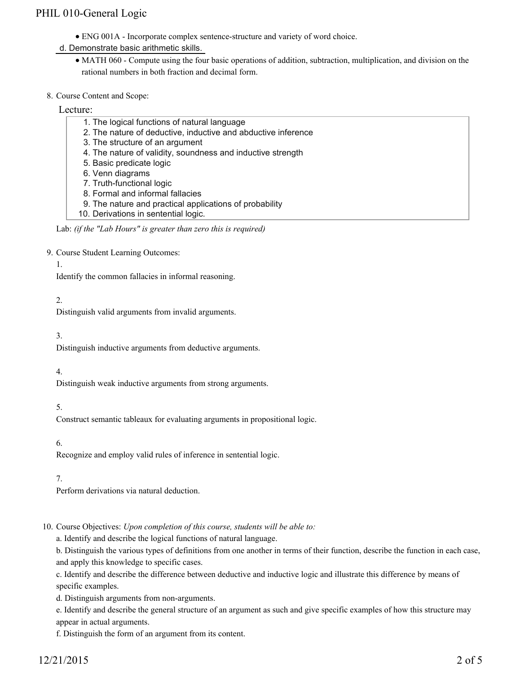- ENG 001A Incorporate complex sentence-structure and variety of word choice.
- d. Demonstrate basic arithmetic skills.
	- MATH 060 Compute using the four basic operations of addition, subtraction, multiplication, and division on the rational numbers in both fraction and decimal form.
- 8. Course Content and Scope:

#### Lecture:

- 1. The logical functions of natural language
- 2. The nature of deductive, inductive and abductive inference
- 3. The structure of an argument
- 4. The nature of validity, soundness and inductive strength
- 5. Basic predicate logic
- 6. Venn diagrams
- 7. Truth-functional logic
- 8. Formal and informal fallacies
- 9. The nature and practical applications of probability
- 10. Derivations in sentential logic.

9. Course Student Learning Outcomes:

1.

Identify the common fallacies in informal reasoning.

### 2.

Distinguish valid arguments from invalid arguments.

3.

Distinguish inductive arguments from deductive arguments.

4.

Distinguish weak inductive arguments from strong arguments.

5.

Construct semantic tableaux for evaluating arguments in propositional logic.

6.

Recognize and employ valid rules of inference in sentential logic.

7.

Perform derivations via natural deduction.

10. Course Objectives: Upon completion of this course, students will be able to:

a. Identify and describe the logical functions of natural language.

b. Distinguish the various types of definitions from one another in terms of their function, describe the function in each case, and apply this knowledge to specific cases.

c. Identify and describe the difference between deductive and inductive logic and illustrate this difference by means of specific examples.

d. Distinguish arguments from non-arguments.

e. Identify and describe the general structure of an argument as such and give specific examples of how this structure may appear in actual arguments.

f. Distinguish the form of an argument from its content.

Lab: *(if the "Lab Hours" is greater than zero this is required)*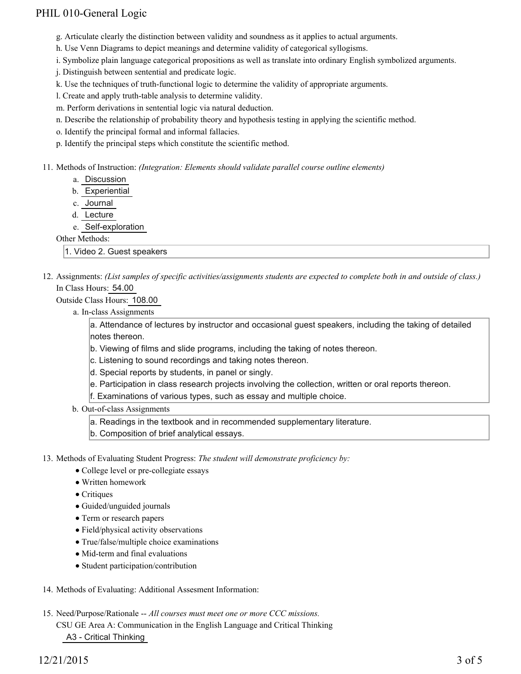- g. Articulate clearly the distinction between validity and soundness as it applies to actual arguments.
- h. Use Venn Diagrams to depict meanings and determine validity of categorical syllogisms.
- i. Symbolize plain language categorical propositions as well as translate into ordinary English symbolized arguments.
- j. Distinguish between sentential and predicate logic.
- k. Use the techniques of truth-functional logic to determine the validity of appropriate arguments.
- l. Create and apply truth-table analysis to determine validity.
- m. Perform derivations in sentential logic via natural deduction.
- n. Describe the relationship of probability theory and hypothesis testing in applying the scientific method.
- o. Identify the principal formal and informal fallacies.
- p. Identify the principal steps which constitute the scientific method.
- Methods of Instruction: *(Integration: Elements should validate parallel course outline elements)* 11.
	- a. Discussion
	- b. Experiential
	- c. Journal
	- d. Lecture
	- e. Self-exploration

#### Other Methods:

1. Video 2. Guest speakers

12. Assignments: (List samples of specific activities/assignments students are expected to complete both in and outside of class.) In Class Hours: 54.00

### Outside Class Hours: 108.00

a. In-class Assignments

a. Attendance of lectures by instructor and occasional guest speakers, including the taking of detailed notes thereon.

- b. Viewing of films and slide programs, including the taking of notes thereon.
- c. Listening to sound recordings and taking notes thereon.
- d. Special reports by students, in panel or singly.
- e. Participation in class research projects involving the collection, written or oral reports thereon.
- f. Examinations of various types, such as essay and multiple choice.
- b. Out-of-class Assignments
	- a. Readings in the textbook and in recommended supplementary literature.
	- b. Composition of brief analytical essays.

13. Methods of Evaluating Student Progress: The student will demonstrate proficiency by:

- College level or pre-collegiate essays
- Written homework
- Critiques
- Guided/unguided journals
- Term or research papers
- Field/physical activity observations
- True/false/multiple choice examinations
- Mid-term and final evaluations
- Student participation/contribution
- 14. Methods of Evaluating: Additional Assesment Information:
- 15. Need/Purpose/Rationale -- All courses must meet one or more CCC missions. CSU GE Area A: Communication in the English Language and Critical Thinking A3 - Critical Thinking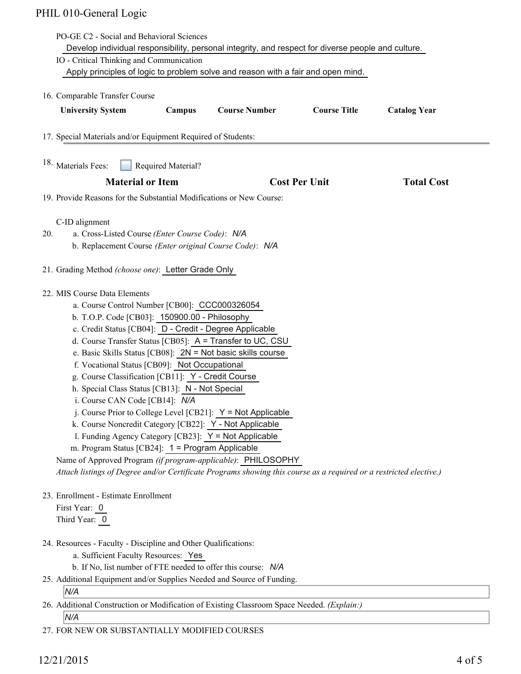|     | PO-GE C2 - Social and Behavioral Sciences                                                                                                                                                                                                                                                                                                                                                                                                                                                                                                                                                                                                                                                                                                                                                                                                                                                                                                          |
|-----|----------------------------------------------------------------------------------------------------------------------------------------------------------------------------------------------------------------------------------------------------------------------------------------------------------------------------------------------------------------------------------------------------------------------------------------------------------------------------------------------------------------------------------------------------------------------------------------------------------------------------------------------------------------------------------------------------------------------------------------------------------------------------------------------------------------------------------------------------------------------------------------------------------------------------------------------------|
|     | Develop individual responsibility, personal integrity, and respect for diverse people and culture.                                                                                                                                                                                                                                                                                                                                                                                                                                                                                                                                                                                                                                                                                                                                                                                                                                                 |
|     | IO - Critical Thinking and Communication<br>Apply principles of logic to problem solve and reason with a fair and open mind.                                                                                                                                                                                                                                                                                                                                                                                                                                                                                                                                                                                                                                                                                                                                                                                                                       |
|     |                                                                                                                                                                                                                                                                                                                                                                                                                                                                                                                                                                                                                                                                                                                                                                                                                                                                                                                                                    |
|     | 16. Comparable Transfer Course                                                                                                                                                                                                                                                                                                                                                                                                                                                                                                                                                                                                                                                                                                                                                                                                                                                                                                                     |
|     | <b>Course Number</b><br><b>Course Title</b><br><b>University System</b><br>Campus<br><b>Catalog Year</b>                                                                                                                                                                                                                                                                                                                                                                                                                                                                                                                                                                                                                                                                                                                                                                                                                                           |
|     | 17. Special Materials and/or Equipment Required of Students:                                                                                                                                                                                                                                                                                                                                                                                                                                                                                                                                                                                                                                                                                                                                                                                                                                                                                       |
|     | 18. Materials Fees:<br>Required Material?                                                                                                                                                                                                                                                                                                                                                                                                                                                                                                                                                                                                                                                                                                                                                                                                                                                                                                          |
|     | <b>Material or Item</b><br><b>Cost Per Unit</b><br><b>Total Cost</b>                                                                                                                                                                                                                                                                                                                                                                                                                                                                                                                                                                                                                                                                                                                                                                                                                                                                               |
|     | 19. Provide Reasons for the Substantial Modifications or New Course:                                                                                                                                                                                                                                                                                                                                                                                                                                                                                                                                                                                                                                                                                                                                                                                                                                                                               |
| 20. | C-ID alignment<br>a. Cross-Listed Course (Enter Course Code): N/A<br>b. Replacement Course (Enter original Course Code): N/A                                                                                                                                                                                                                                                                                                                                                                                                                                                                                                                                                                                                                                                                                                                                                                                                                       |
|     | 21. Grading Method (choose one): Letter Grade Only                                                                                                                                                                                                                                                                                                                                                                                                                                                                                                                                                                                                                                                                                                                                                                                                                                                                                                 |
|     | 22. MIS Course Data Elements<br>a. Course Control Number [CB00]: CCC000326054<br>b. T.O.P. Code [CB03]: 150900.00 - Philosophy<br>c. Credit Status [CB04]: D - Credit - Degree Applicable<br>d. Course Transfer Status [CB05]: A = Transfer to UC, CSU<br>e. Basic Skills Status [CB08]: $2N = Not$ basic skills course<br>f. Vocational Status [CB09]: Not Occupational<br>g. Course Classification [CB11]: Y - Credit Course<br>h. Special Class Status [CB13]: N - Not Special<br>i. Course CAN Code [CB14]: N/A<br>j. Course Prior to College Level [CB21]: $Y = Not$ Applicable<br>k. Course Noncredit Category [CB22]: Y - Not Applicable<br>l. Funding Agency Category [CB23]: Y = Not Applicable<br>m. Program Status [CB24]: 1 = Program Applicable<br>Name of Approved Program (if program-applicable): PHILOSOPHY<br>Attach listings of Degree and/or Certificate Programs showing this course as a required or a restricted elective.) |
|     | 23. Enrollment - Estimate Enrollment<br>First Year: 0<br>Third Year: 0                                                                                                                                                                                                                                                                                                                                                                                                                                                                                                                                                                                                                                                                                                                                                                                                                                                                             |
|     | 24. Resources - Faculty - Discipline and Other Qualifications:<br>a. Sufficient Faculty Resources: Yes<br>b. If No, list number of FTE needed to offer this course: N/A<br>25. Additional Equipment and/or Supplies Needed and Source of Funding.<br>N/A                                                                                                                                                                                                                                                                                                                                                                                                                                                                                                                                                                                                                                                                                           |
|     | 26. Additional Construction or Modification of Existing Classroom Space Needed. (Explain:)                                                                                                                                                                                                                                                                                                                                                                                                                                                                                                                                                                                                                                                                                                                                                                                                                                                         |
|     | N/A                                                                                                                                                                                                                                                                                                                                                                                                                                                                                                                                                                                                                                                                                                                                                                                                                                                                                                                                                |
|     |                                                                                                                                                                                                                                                                                                                                                                                                                                                                                                                                                                                                                                                                                                                                                                                                                                                                                                                                                    |

27. FOR NEW OR SUBSTANTIALLY MODIFIED COURSES